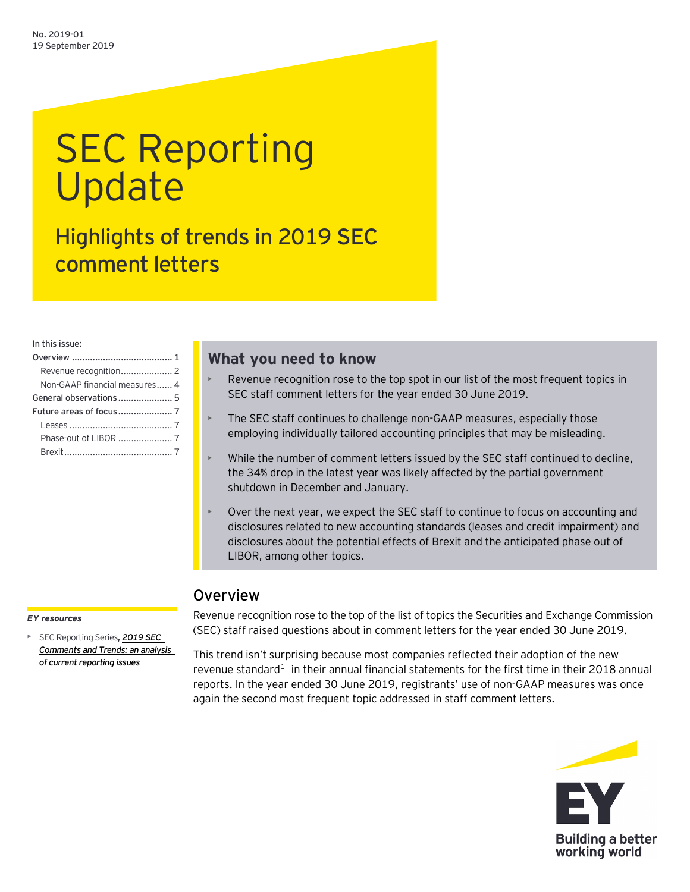# SEC Reporting Update

Highlights of trends in 2019 SEC comment letters

In this issue:

| Non-GAAP financial measures 4 |  |
|-------------------------------|--|
|                               |  |
|                               |  |
|                               |  |
|                               |  |
|                               |  |

# **What you need to know**

- Revenue recognition rose to the top spot in our list of the most frequent topics in SEC staff comment letters for the year ended 30 June 2019.
- The SEC staff continues to challenge non-GAAP measures, especially those employing individually tailored accounting principles that may be misleading.
- While the number of comment letters issued by the SEC staff continued to decline, the 34% drop in the latest year was likely affected by the partial government shutdown in December and January.
- Over the next year, we expect the SEC staff to continue to focus on accounting and disclosures related to new accounting standards (leases and credit impairment) and disclosures about the potential effects of Brexit and the anticipated phase out of LIBOR, among other topics.

# <span id="page-0-0"></span>**Overview**

#### *EY resources*

• SEC Reporting Series**,** *[2019 SEC](https://www.ey.com/Publication/vwLUAssetsAL/SECCommentsTrends_06976-191US_18September2019/$FILE/SECCommentsTrends_06976-191US_18September2019.pdf)  Comments and [Trends: an analysis](https://www.ey.com/Publication/vwLUAssetsAL/SECCommentsTrends_06976-191US_18September2019/$FILE/SECCommentsTrends_06976-191US_18September2019.pdf)  [of current reporting issues](https://www.ey.com/Publication/vwLUAssetsAL/SECCommentsTrends_06976-191US_18September2019/$FILE/SECCommentsTrends_06976-191US_18September2019.pdf)*

Revenue recognition rose to the top of the list of topics the Securities and Exchange Commission (SEC) staff raised questions about in comment letters for the year ended 30 June 2019.

This trend isn't surprising because most companies reflected their adoption of the new revenue standard<sup>[1](#page-6-4)</sup> in their annual financial statements for the first time in their 2018 annual reports. In the year ended 30 June 2019, registrants' use of non-GAAP measures was once again the second most frequent topic addressed in staff comment letters.

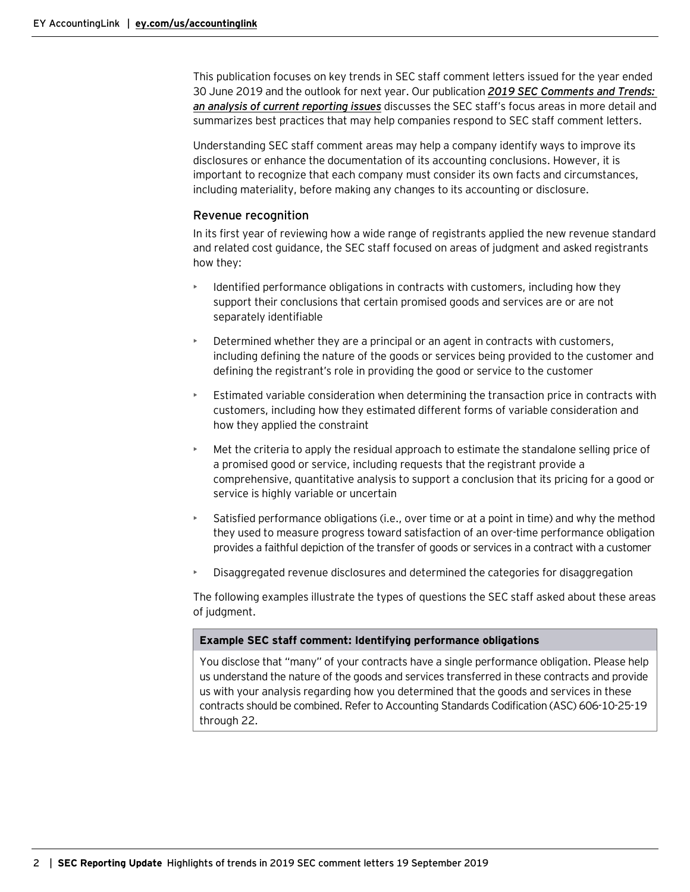This publication focuses on key trends in SEC staff comment letters issued for the year ended 30 June 2019 and the outlook for next year. Our publication *2019 [SEC Comments and Trends:](https://www.ey.com/Publication/vwLUAssetsAL/SECCommentsTrends_06976-191US_18September2019/$FILE/SECCommentsTrends_06976-191US_18September2019.pdf) [an analysis of current reporting issues](https://www.ey.com/Publication/vwLUAssetsAL/SECCommentsTrends_06976-191US_18September2019/$FILE/SECCommentsTrends_06976-191US_18September2019.pdf)* discusses the SEC staff's focus areas in more detail and summarizes best practices that may help companies respond to SEC staff comment letters.

Understanding SEC staff comment areas may help a company identify ways to improve its disclosures or enhance the documentation of its accounting conclusions. However, it is important to recognize that each company must consider its own facts and circumstances, including materiality, before making any changes to its accounting or disclosure.

#### <span id="page-1-0"></span>Revenue recognition

In its first year of reviewing how a wide range of registrants applied the new revenue standard and related cost guidance, the SEC staff focused on areas of judgment and asked registrants how they:

- Identified performance obligations in contracts with customers, including how they support their conclusions that certain promised goods and services are or are not separately identifiable
- Determined whether they are a principal or an agent in contracts with customers, including defining the nature of the goods or services being provided to the customer and defining the registrant's role in providing the good or service to the customer
- Estimated variable consideration when determining the transaction price in contracts with customers, including how they estimated different forms of variable consideration and how they applied the constraint
- Met the criteria to apply the residual approach to estimate the standalone selling price of a promised good or service, including requests that the registrant provide a comprehensive, quantitative analysis to support a conclusion that its pricing for a good or service is highly variable or uncertain
- Satisfied performance obligations (i.e., over time or at a point in time) and why the method they used to measure progress toward satisfaction of an over-time performance obligation provides a faithful depiction of the transfer of goods or services in a contract with a customer
- Disaggregated revenue disclosures and determined the categories for disaggregation

The following examples illustrate the types of questions the SEC staff asked about these areas of judgment.

#### **Example SEC staff comment: Identifying performance obligations**

You disclose that "many" of your contracts have a single performance obligation. Please help us understand the nature of the goods and services transferred in these contracts and provide us with your analysis regarding how you determined that the goods and services in these contracts should be combined. Refer to Accounting Standards Codification (ASC) 606-10-25-19 through 22.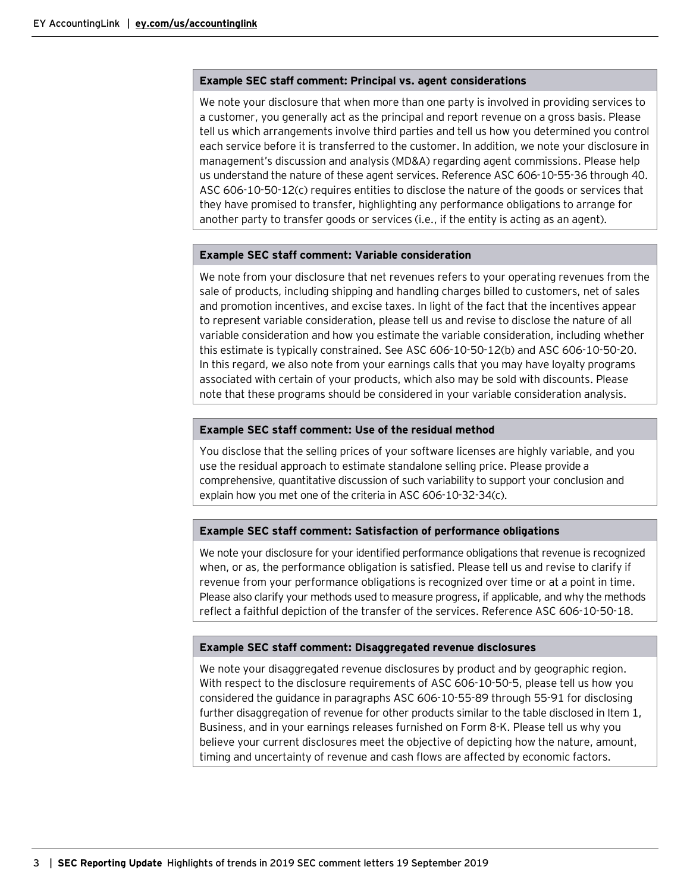#### **Example SEC staff comment: Principal vs. agent considerations**

We note your disclosure that when more than one party is involved in providing services to a customer, you generally act as the principal and report revenue on a gross basis. Please tell us which arrangements involve third parties and tell us how you determined you control each service before it is transferred to the customer. In addition, we note your disclosure in management's discussion and analysis (MD&A) regarding agent commissions. Please help us understand the nature of these agent services. Reference ASC 606-10-55-36 through 40. ASC 606-10-50-12(c) requires entities to disclose the nature of the goods or services that they have promised to transfer, highlighting any performance obligations to arrange for another party to transfer goods or services (i.e., if the entity is acting as an agent).

#### **Example SEC staff comment: Variable consideration**

We note from your disclosure that net revenues refers to your operating revenues from the sale of products, including shipping and handling charges billed to customers, net of sales and promotion incentives, and excise taxes. In light of the fact that the incentives appear to represent variable consideration, please tell us and revise to disclose the nature of all variable consideration and how you estimate the variable consideration, including whether this estimate is typically constrained. See ASC 606-10-50-12(b) and ASC 606-10-50-20. In this regard, we also note from your earnings calls that you may have loyalty programs associated with certain of your products, which also may be sold with discounts. Please note that these programs should be considered in your variable consideration analysis.

#### **Example SEC staff comment: Use of the residual method**

You disclose that the selling prices of your software licenses are highly variable, and you use the residual approach to estimate standalone selling price. Please provide a comprehensive, quantitative discussion of such variability to support your conclusion and explain how you met one of the criteria in ASC 606-10-32-34(c).

#### **Example SEC staff comment: Satisfaction of performance obligations**

We note your disclosure for your identified performance obligations that revenue is recognized when, or as, the performance obligation is satisfied. Please tell us and revise to clarify if revenue from your performance obligations is recognized over time or at a point in time. Please also clarify your methods used to measure progress, if applicable, and why the methods reflect a faithful depiction of the transfer of the services. Reference ASC 606-10-50-18.

#### **Example SEC staff comment: Disaggregated revenue disclosures**

We note your disaggregated revenue disclosures by product and by geographic region. With respect to the disclosure requirements of ASC 606-10-50-5, please tell us how you considered the guidance in paragraphs ASC 606-10-55-89 through 55-91 for disclosing further disaggregation of revenue for other products similar to the table disclosed in Item 1, Business, and in your earnings releases furnished on Form 8-K. Please tell us why you believe your current disclosures meet the objective of depicting how the nature, amount, timing and uncertainty of revenue and cash flows are affected by economic factors.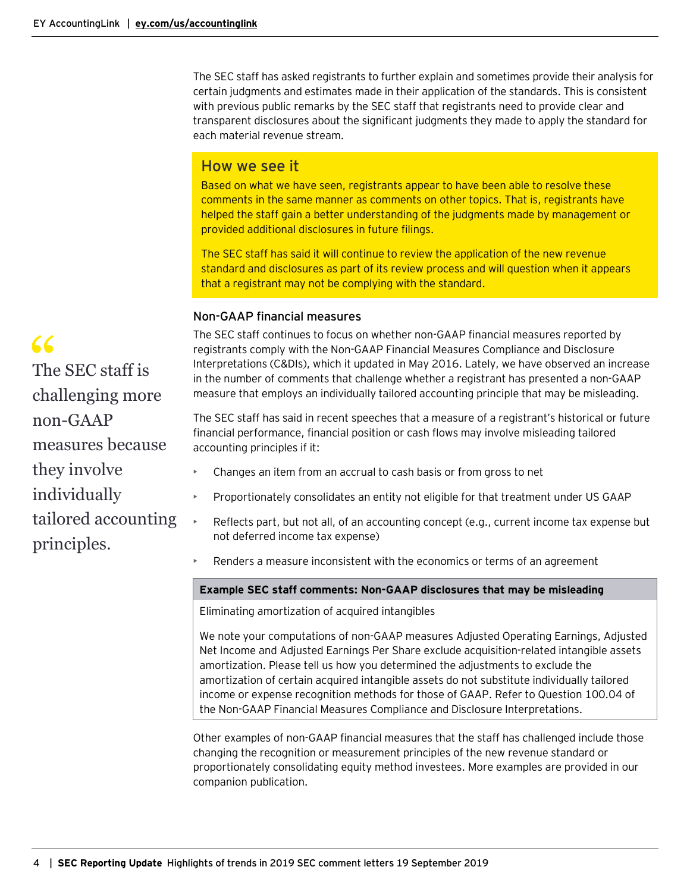The SEC staff has asked registrants to further explain and sometimes provide their analysis for certain judgments and estimates made in their application of the standards. This is consistent with previous public remarks by the SEC staff that registrants need to provide clear and transparent disclosures about the significant judgments they made to apply the standard for each material revenue stream.

### How we see it

Based on what we have seen, registrants appear to have been able to resolve these comments in the same manner as comments on other topics. That is, registrants have helped the staff gain a better understanding of the judgments made by management or provided additional disclosures in future filings.

The SEC staff has said it will continue to review the application of the new revenue standard and disclosures as part of its review process and will question when it appears that a registrant may not be complying with the standard.

#### <span id="page-3-0"></span>Non-GAAP financial measures

The SEC staff continues to focus on whether non-GAAP financial measures reported by registrants comply with the Non-GAAP Financial Measures Compliance and Disclosure Interpretations (C&DIs), which it updated in May 2016. Lately, we have observed an increase in the number of comments that challenge whether a registrant has presented a non-GAAP measure that employs an individually tailored accounting principle that may be misleading.

The SEC staff has said in recent speeches that a measure of a registrant's historical or future financial performance, financial position or cash flows may involve misleading tailored accounting principles if it:

- Changes an item from an accrual to cash basis or from gross to net
- Proportionately consolidates an entity not eligible for that treatment under US GAAP
- Reflects part, but not all, of an accounting concept (e.g., current income tax expense but not deferred income tax expense)
- Renders a measure inconsistent with the economics or terms of an agreement

#### **Example SEC staff comments: Non-GAAP disclosures that may be misleading**

Eliminating amortization of acquired intangibles

We note your computations of non-GAAP measures Adjusted Operating Earnings, Adjusted Net Income and Adjusted Earnings Per Share exclude acquisition-related intangible assets amortization. Please tell us how you determined the adjustments to exclude the amortization of certain acquired intangible assets do not substitute individually tailored income or expense recognition methods for those of GAAP. Refer to Question 100.04 of the Non-GAAP Financial Measures Compliance and Disclosure Interpretations.

Other examples of non-GAAP financial measures that the staff has challenged include those changing the recognition or measurement principles of the new revenue standard or proportionately consolidating equity method investees. More examples are provided in our companion publication.

66<br>The SEC staff is<br>challenging more The SEC staff is non-GAAP measures because they involve individually tailored accounting principles.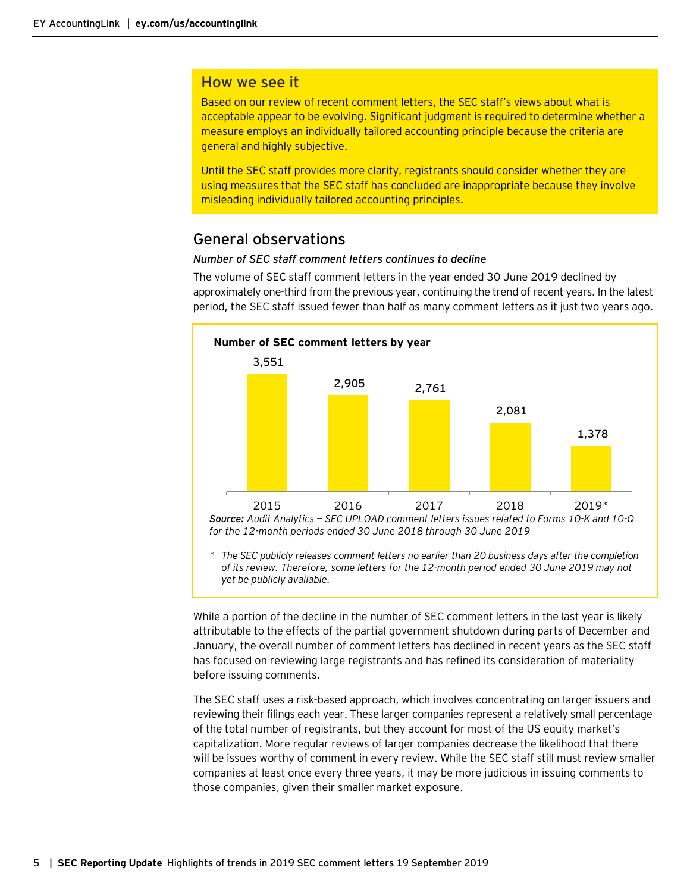#### How we see it

Based on our review of recent comment letters, the SEC staff's views about what is acceptable appear to be evolving. Significant judgment is required to determine whether a measure employs an individually tailored accounting principle because the criteria are general and highly subjective.

Until the SEC staff provides more clarity, registrants should consider whether they are using measures that the SEC staff has concluded are inappropriate because they involve misleading individually tailored accounting principles.

## <span id="page-4-0"></span>General observations

#### *Number of SEC staff comment letters continues to decline*

The volume of SEC staff comment letters in the year ended 30 June 2019 declined by approximately one-third from the previous year, continuing the trend of recent years. In the latest period, the SEC staff issued fewer than half as many comment letters as it just two years ago.



While a portion of the decline in the number of SEC comment letters in the last year is likely attributable to the effects of the partial government shutdown during parts of December and January, the overall number of comment letters has declined in recent years as the SEC staff has focused on reviewing large registrants and has refined its consideration of materiality before issuing comments.

The SEC staff uses a risk-based approach, which involves concentrating on larger issuers and reviewing their filings each year. These larger companies represent a relatively small percentage of the total number of registrants, but they account for most of the US equity market's capitalization. More regular reviews of larger companies decrease the likelihood that there will be issues worthy of comment in every review. While the SEC staff still must review smaller companies at least once every three years, it may be more judicious in issuing comments to those companies, given their smaller market exposure.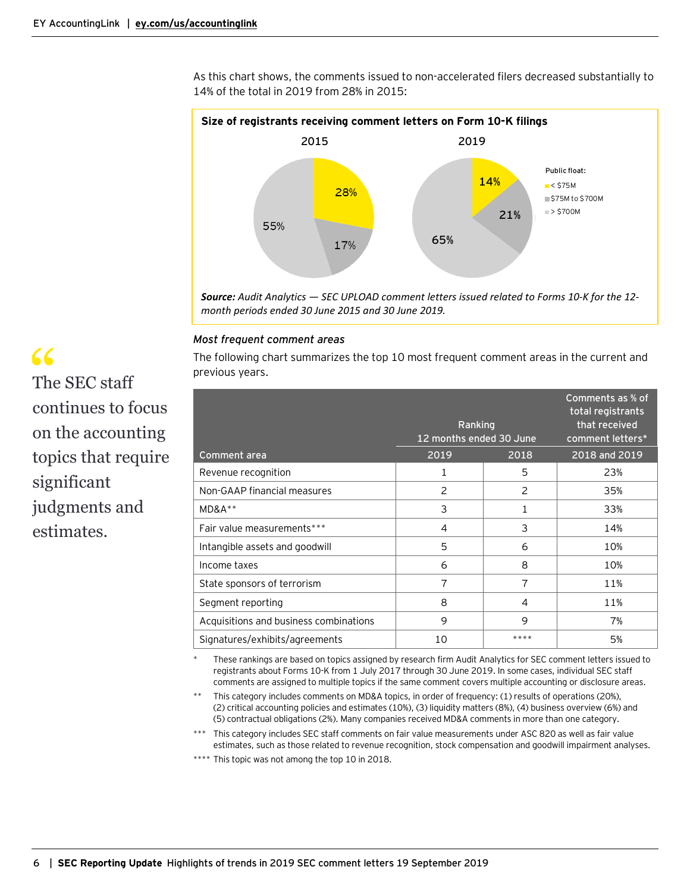As this chart shows, the comments issued to non-accelerated filers decreased substantially to 14% of the total in 2019 from 28% in 2015:



#### *Most frequent comment areas*

The following chart summarizes the top 10 most frequent comment areas in the current and previous years.

|                                        | Ranking<br>12 months ended 30 June |                | Comments as % of<br>total registrants<br>that received<br>comment letters* |
|----------------------------------------|------------------------------------|----------------|----------------------------------------------------------------------------|
| Comment area                           | 2019                               | 2018           | 2018 and 2019                                                              |
| Revenue recognition                    | 1                                  | 5              | 23%                                                                        |
| Non-GAAP financial measures            | $\overline{c}$                     | $\overline{c}$ | 35%                                                                        |
| $MD&A**$                               | 3                                  |                | 33%                                                                        |
| Fair value measurements***             | 4                                  | 3              | 14%                                                                        |
| Intangible assets and goodwill         | 5                                  | 6              | 10%                                                                        |
| Income taxes                           | 6                                  | 8              | 10%                                                                        |
| State sponsors of terrorism            | 7                                  | 7              | 11%                                                                        |
| Segment reporting                      | 8                                  | 4              | 11%                                                                        |
| Acquisitions and business combinations | 9                                  | 9              | 7%                                                                         |
| Signatures/exhibits/agreements         | 10                                 | ****           | 5%                                                                         |

These rankings are based on topics assigned by research firm Audit Analytics for SEC comment letters issued to registrants about Forms 10-K from 1 July 2017 through 30 June 2019. In some cases, individual SEC staff comments are assigned to multiple topics if the same comment covers multiple accounting or disclosure areas.

This category includes comments on MD&A topics, in order of frequency: (1) results of operations (20%), (2) critical accounting policies and estimates (10%), (3) liquidity matters (8%), (4) business overview (6%) and (5) contractual obligations (2%). Many companies received MD&A comments in more than one category.

\*\*\* This category includes SEC staff comments on fair value measurements under ASC 820 as well as fair value estimates, such as those related to revenue recognition, stock compensation and goodwill impairment analyses.

\*\*\*\* This topic was not among the top 10 in 2018.

# " The SEC staff continues to focus on the accounting topics that require significant judgments and estimates.